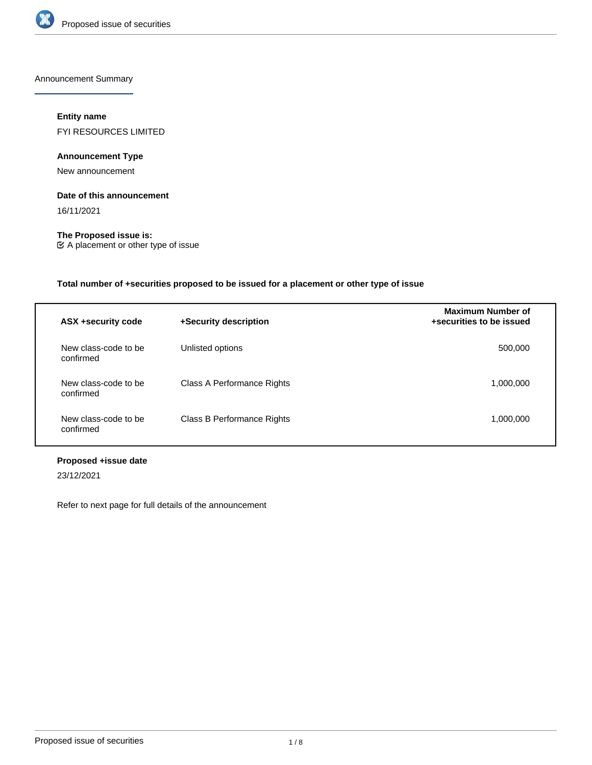

Announcement Summary

# **Entity name**

FYI RESOURCES LIMITED

# **Announcement Type**

New announcement

# **Date of this announcement**

16/11/2021

**The Proposed issue is:** A placement or other type of issue

# **Total number of +securities proposed to be issued for a placement or other type of issue**

| ASX +security code                | +Security description      | <b>Maximum Number of</b><br>+securities to be issued |
|-----------------------------------|----------------------------|------------------------------------------------------|
| New class-code to be<br>confirmed | Unlisted options           | 500.000                                              |
| New class-code to be<br>confirmed | Class A Performance Rights | 1,000,000                                            |
| New class-code to be<br>confirmed | Class B Performance Rights | 1,000,000                                            |

# **Proposed +issue date**

23/12/2021

Refer to next page for full details of the announcement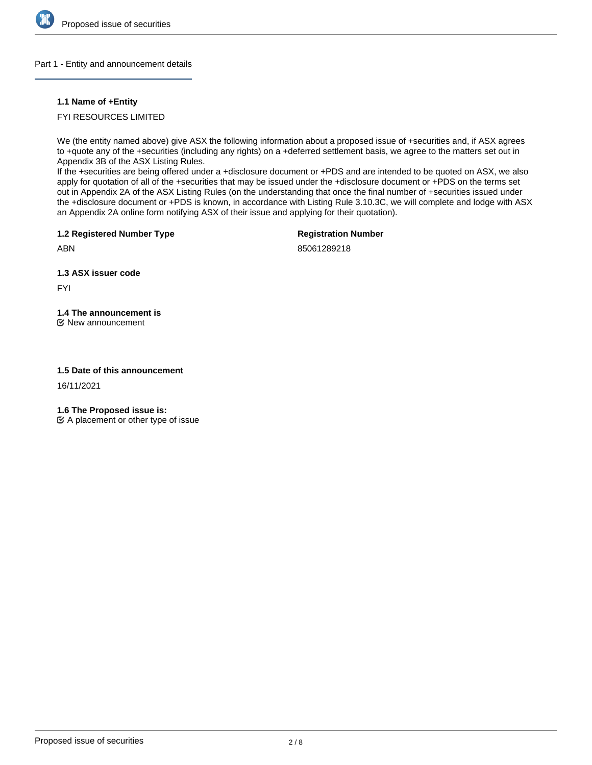

## Part 1 - Entity and announcement details

# **1.1 Name of +Entity**

# FYI RESOURCES LIMITED

We (the entity named above) give ASX the following information about a proposed issue of +securities and, if ASX agrees to +quote any of the +securities (including any rights) on a +deferred settlement basis, we agree to the matters set out in Appendix 3B of the ASX Listing Rules.

If the +securities are being offered under a +disclosure document or +PDS and are intended to be quoted on ASX, we also apply for quotation of all of the +securities that may be issued under the +disclosure document or +PDS on the terms set out in Appendix 2A of the ASX Listing Rules (on the understanding that once the final number of +securities issued under the +disclosure document or +PDS is known, in accordance with Listing Rule 3.10.3C, we will complete and lodge with ASX an Appendix 2A online form notifying ASX of their issue and applying for their quotation).

**1.2 Registered Number Type**

**Registration Number**

ABN

85061289218

**1.3 ASX issuer code**

FYI

# **1.4 The announcement is**

New announcement

# **1.5 Date of this announcement**

16/11/2021

**1.6 The Proposed issue is:**

 $\mathfrak{C}$  A placement or other type of issue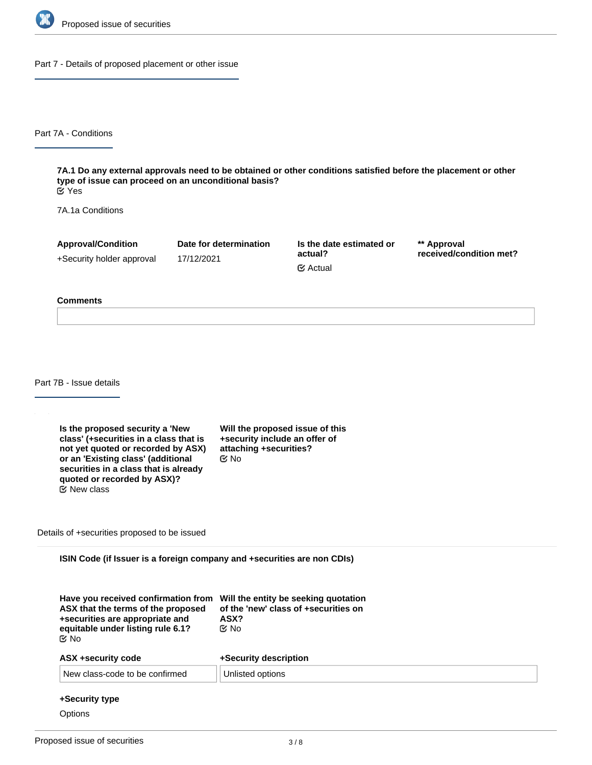

Part 7 - Details of proposed placement or other issue

Part 7A - Conditions

**7A.1 Do any external approvals need to be obtained or other conditions satisfied before the placement or other type of issue can proceed on an unconditional basis?** Yes

7A.1a Conditions

**Approval/Condition** +Security holder approval

17/12/2021

**Date for determination**

**Is the date estimated or actual?** Actual

**\*\* Approval received/condition met?**

#### **Comments**

Part 7B - Issue details

**Is the proposed security a 'New class' (+securities in a class that is not yet quoted or recorded by ASX) or an 'Existing class' (additional securities in a class that is already quoted or recorded by ASX)?** New class

**Will the proposed issue of this +security include an offer of attaching +securities?** No

Details of +securities proposed to be issued

**ISIN Code (if Issuer is a foreign company and +securities are non CDIs)**

| Have you received confirmation from<br>ASX that the terms of the proposed<br>+securities are appropriate and<br>equitable under listing rule 6.1?<br>C⁄⊠ No | Will the entity be seeking quotation<br>of the 'new' class of +securities on<br>ASX?<br>C⁄ No |
|-------------------------------------------------------------------------------------------------------------------------------------------------------------|-----------------------------------------------------------------------------------------------|
| <b>ASX +security code</b>                                                                                                                                   | +Security description                                                                         |
| New class-code to be confirmed                                                                                                                              | Unlisted options                                                                              |

#### **+Security type**

**Options**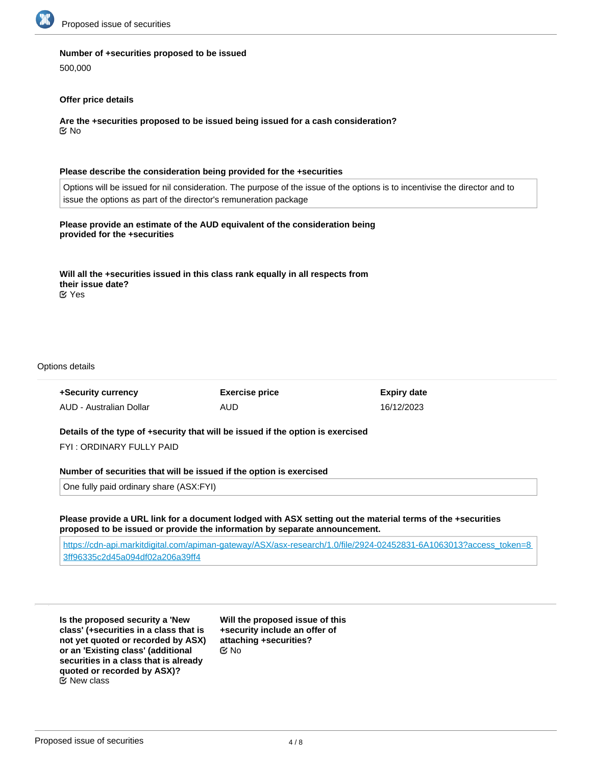

#### **Number of +securities proposed to be issued**

500,000

## **Offer price details**

**Are the +securities proposed to be issued being issued for a cash consideration?** No

#### **Please describe the consideration being provided for the +securities**

Options will be issued for nil consideration. The purpose of the issue of the options is to incentivise the director and to issue the options as part of the director's remuneration package

## **Please provide an estimate of the AUD equivalent of the consideration being provided for the +securities**

**Will all the +securities issued in this class rank equally in all respects from their issue date?** Yes

#### Options details

| +Security currency      | <b>Exercise price</b> | Expiry date |
|-------------------------|-----------------------|-------------|
| AUD - Australian Dollar | AUD                   | 16/12/2023  |

**Details of the type of +security that will be issued if the option is exercised**

FYI : ORDINARY FULLY PAID

#### **Number of securities that will be issued if the option is exercised**

One fully paid ordinary share (ASX:FYI)

**Please provide a URL link for a document lodged with ASX setting out the material terms of the +securities proposed to be issued or provide the information by separate announcement.**

[https://cdn-api.markitdigital.com/apiman-gateway/ASX/asx-research/1.0/file/2924-02452831-6A1063013?access\\_token=8](https://cdn-api.markitdigital.com/apiman-gateway/ASX/asx-research/1.0/file/2924-02452831-6A1063013?access_token=83ff96335c2d45a094df02a206a39ff4) [3ff96335c2d45a094df02a206a39ff4](https://cdn-api.markitdigital.com/apiman-gateway/ASX/asx-research/1.0/file/2924-02452831-6A1063013?access_token=83ff96335c2d45a094df02a206a39ff4)

**Is the proposed security a 'New class' (+securities in a class that is not yet quoted or recorded by ASX) or an 'Existing class' (additional securities in a class that is already quoted or recorded by ASX)?** New class

**Will the proposed issue of this +security include an offer of attaching +securities?** No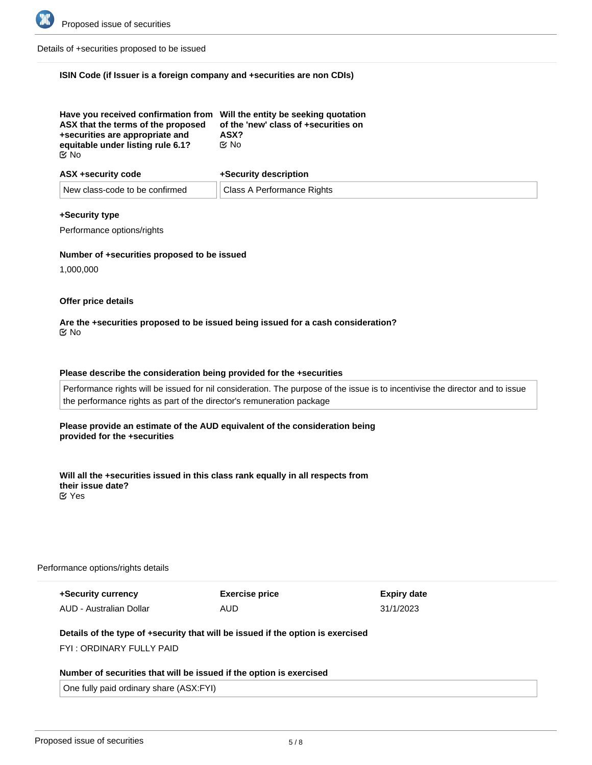

Details of +securities proposed to be issued

# **ISIN Code (if Issuer is a foreign company and +securities are non CDIs)**

| Have you received confirmation from Will the entity be seeking quotation<br>ASX that the terms of the proposed | of the 'new' class of +securities on |
|----------------------------------------------------------------------------------------------------------------|--------------------------------------|
| +securities are appropriate and                                                                                | ASX?                                 |
| equitable under listing rule 6.1?                                                                              | ় No                                 |
| ় No                                                                                                           |                                      |

| ASX +security code             | +Security description      |
|--------------------------------|----------------------------|
| New class-code to be confirmed | Class A Performance Rights |

#### **+Security type**

Performance options/rights

#### **Number of +securities proposed to be issued**

1,000,000

#### **Offer price details**

#### **Are the +securities proposed to be issued being issued for a cash consideration?** No

## **Please describe the consideration being provided for the +securities**

Performance rights will be issued for nil consideration. The purpose of the issue is to incentivise the director and to issue the performance rights as part of the director's remuneration package

#### **Please provide an estimate of the AUD equivalent of the consideration being provided for the +securities**

**Will all the +securities issued in this class rank equally in all respects from their issue date?** Yes

#### Performance options/rights details

| +Security currency      | <b>Exercise price</b> | Expiry date |
|-------------------------|-----------------------|-------------|
| AUD - Australian Dollar | AUD                   | 31/1/2023   |

# **Details of the type of +security that will be issued if the option is exercised**

FYI : ORDINARY FULLY PAID

#### **Number of securities that will be issued if the option is exercised**

One fully paid ordinary share (ASX:FYI)

**Please provide a URL link for a document lodged with ASX setting out the material terms of the +securities**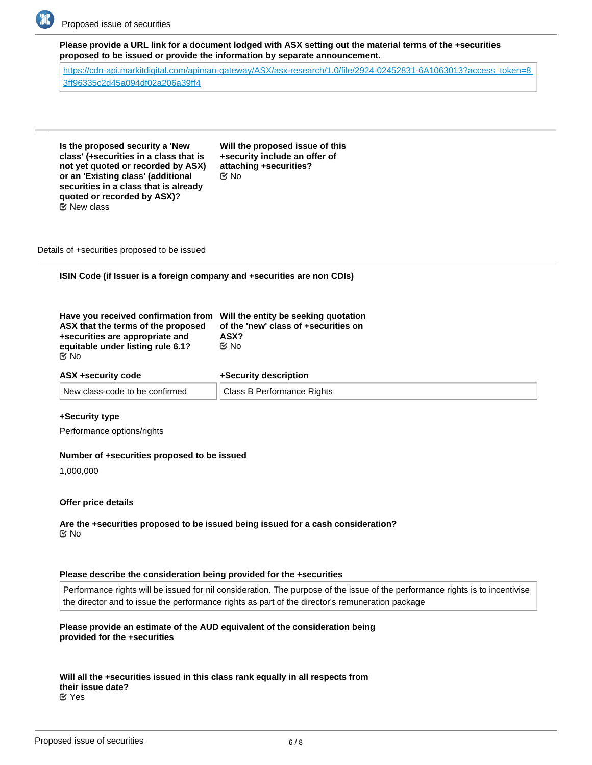

**Please provide a URL link for a document lodged with ASX setting out the material terms of the +securities proposed to be issued or provide the information by separate announcement.**

[https://cdn-api.markitdigital.com/apiman-gateway/ASX/asx-research/1.0/file/2924-02452831-6A1063013?access\\_token=8](https://cdn-api.markitdigital.com/apiman-gateway/ASX/asx-research/1.0/file/2924-02452831-6A1063013?access_token=83ff96335c2d45a094df02a206a39ff4) [3ff96335c2d45a094df02a206a39ff4](https://cdn-api.markitdigital.com/apiman-gateway/ASX/asx-research/1.0/file/2924-02452831-6A1063013?access_token=83ff96335c2d45a094df02a206a39ff4)

**Is the proposed security a 'New class' (+securities in a class that is not yet quoted or recorded by ASX) or an 'Existing class' (additional securities in a class that is already quoted or recorded by ASX)?** New class

**Will the proposed issue of this +security include an offer of attaching +securities?** No

Details of +securities proposed to be issued

**ISIN Code (if Issuer is a foreign company and +securities are non CDIs)**

| Have you received confirmation from<br>ASX that the terms of the proposed<br>+securities are appropriate and<br>equitable under listing rule 6.1?<br>M No | Will the entity be seeking quotation<br>of the 'new' class of +securities on<br>ASX?<br>C⁄⊠ No |  |
|-----------------------------------------------------------------------------------------------------------------------------------------------------------|------------------------------------------------------------------------------------------------|--|
| ASX +security code                                                                                                                                        | +Security description                                                                          |  |
| New class-code to be confirmed                                                                                                                            | Class B Performance Rights                                                                     |  |

## **+Security type**

Performance options/rights

#### **Number of +securities proposed to be issued**

1,000,000

#### **Offer price details**

**Are the +securities proposed to be issued being issued for a cash consideration? ⊠**No

#### **Please describe the consideration being provided for the +securities**

Performance rights will be issued for nil consideration. The purpose of the issue of the performance rights is to incentivise the director and to issue the performance rights as part of the director's remuneration package

# **Please provide an estimate of the AUD equivalent of the consideration being provided for the +securities**

**Will all the +securities issued in this class rank equally in all respects from their issue date?** Yes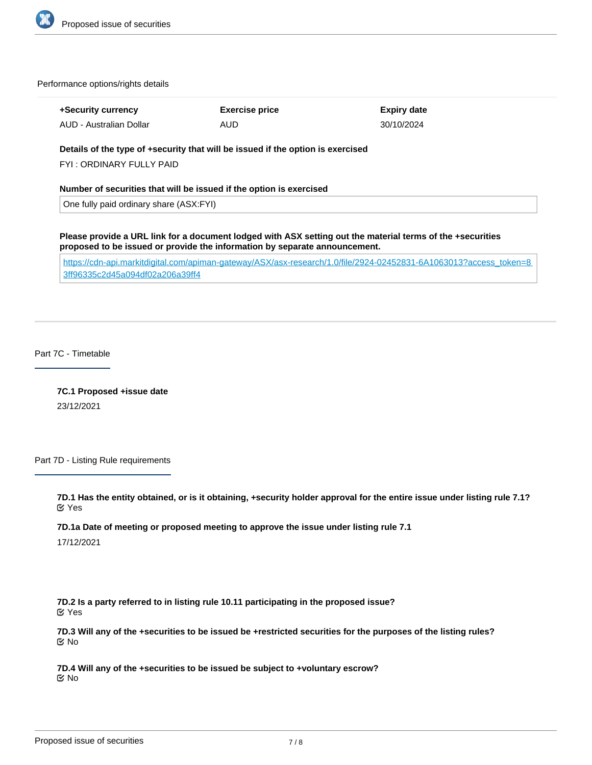

Performance options/rights details

| +Security currency      | <b>Exercise price</b> | Expiry date |
|-------------------------|-----------------------|-------------|
| AUD - Australian Dollar | AUD                   | 30/10/2024  |

# **Details of the type of +security that will be issued if the option is exercised**

FYI : ORDINARY FULLY PAID

**Number of securities that will be issued if the option is exercised**

One fully paid ordinary share (ASX:FYI)

**Please provide a URL link for a document lodged with ASX setting out the material terms of the +securities proposed to be issued or provide the information by separate announcement.**

[https://cdn-api.markitdigital.com/apiman-gateway/ASX/asx-research/1.0/file/2924-02452831-6A1063013?access\\_token=8](https://cdn-api.markitdigital.com/apiman-gateway/ASX/asx-research/1.0/file/2924-02452831-6A1063013?access_token=83ff96335c2d45a094df02a206a39ff4) [3ff96335c2d45a094df02a206a39ff4](https://cdn-api.markitdigital.com/apiman-gateway/ASX/asx-research/1.0/file/2924-02452831-6A1063013?access_token=83ff96335c2d45a094df02a206a39ff4)

Part 7C - Timetable

**7C.1 Proposed +issue date** 23/12/2021

Part 7D - Listing Rule requirements

**7D.1 Has the entity obtained, or is it obtaining, +security holder approval for the entire issue under listing rule 7.1?** Yes

**7D.1a Date of meeting or proposed meeting to approve the issue under listing rule 7.1**

17/12/2021

**7D.2 Is a party referred to in listing rule 10.11 participating in the proposed issue?** Yes

**7D.3 Will any of the +securities to be issued be +restricted securities for the purposes of the listing rules?** No

**7D.4 Will any of the +securities to be issued be subject to +voluntary escrow?** No